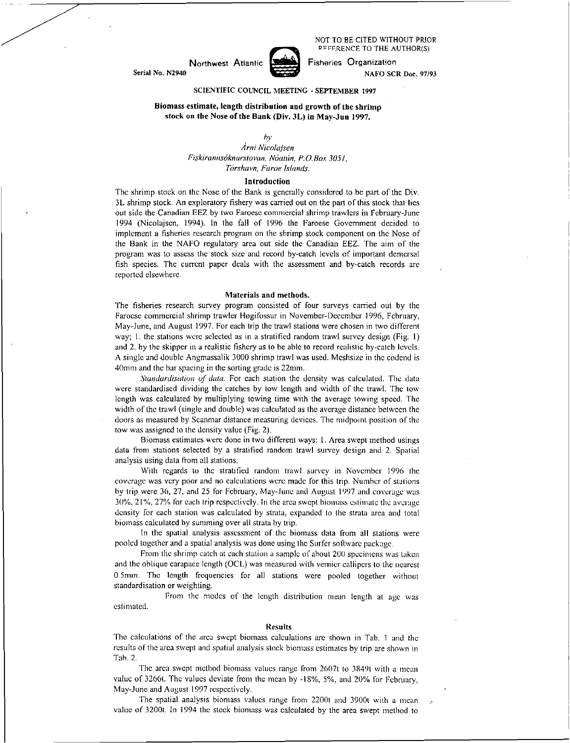NOT TO BE CITED WITHOUT PRIOR REFERENCE TO THE AUTHOR(S)



Northwest Atlantic **Fisheries** Crganization Serial No. N2940 NAFO SCR Doc. 97/93

# SCIENTIFIC COUNCIL MEETING - SEPTEMBER 1997

# Biomass estimate, length distribution and growth of the shrimp stock on the Nose of the Bank (Div. 3L) in May-Jun 1997.

## *by*

*cina Nicolajsen Fiskirannsoknarstown, Noatan, P.O. Box 3051, Torshavn, Fame Islands.* 

## Introduction

The shrimp stock on the Nose of the Bank is generally considered to be part of the Div. 3L shrimp stock. An exploratory fishery was carried out on the part of this stock that lies out side the Canadian EEZ by two Faroese commercial shrimp trawlers in February-June 1994 (Nicolajsen, 1994). In the fall of 1996 the Faroese Government decided to implement a fisheries research program on the shrimp stock component on the Nose of the Bank in the NAFO regulatory area out side the Canadian EEZ. The aim of the program was to assess the stock size and record by-catch levels of important demersal fish species. The current paper deals with the assessment and by-catch records are reported elsewhere.

### Materials and methods.

The fisheries research survey program consisted of four surveys carried out by the Faroese commercial shrimp trawler Flogifossur in November-December 1996, February, May-June, and August 1997. For each trip the trawl stations were chosen in two different way; I. the stations were selected as in a stratified random trawl survey design (Fig. 1) and 2. by the skipper in a realistic fishery as to be able to record realistic by-catch levels. A single and double Angmassalik 3000 shrimp trawl was used. Meshsize in the codend is 40mm and the bar spacing in the sorting grade is 22mm.

*Standardisation of data.* For each station the density was calculated. The data were standardised dividing the catches by tow length and width of the trawl. The low length was calculated by multiplying towing time with the average towing speed. The width of the trawl (single and double) was calculated as the average distance between the doors as measured by Scanmar distance measuring devices. The midpoint position of the tow was assigned to the density value (Fig. 2).

Biomass estimates were done in two different ways: I. Area swept method usings data from stations selected by a stratified random trawl survey design and 2. Spatial analysis using data from all stations.

With regards to the stratified random trawl survey in November 1996 the coverage was very poor and no calculations were made for this trip. Number of stations by trip were 36, 27, and 25 for February, May-Juno and August 1997 and coverage was 30%, 21%, 27% for each trip respectively. In the area swept biomass estimate the average density for each station was calculated by strata, expanded to the strata area and total biomass calculated by summing over all strata by trip.

In the spatial analysis assessment of the biomass data from all stations were pooled together and a spatial analysis was done using the Surfer software package.

From the shrimp catch at each station a sample of about 200 specimens was taken and the oblique carapace length (OCL) was measured with vernier callipers to the nearest 0.5mm. The length frequencies for all stations were pooled together without standardisation or weighting.

From the modes of the length distribution mean length at age was estimated.

### Results

The calculations of the area swept biomass calculations are shown in Tab. 1 and the results of the area swept and spatial analysis stock biomass estimates by trip are shown in Tab. 2.

The area swept method biomass values range from 2607t to 3849t with a mean value of 3266t. The values deviate from the mean by -18%, 5%, and 20% for February, May-June and August 1997 respectively.

The spatial analysis biomass values range from 2200t and 3900t with a mean value of 32001. In 1994 the stock biomass was calculated by the area swept method to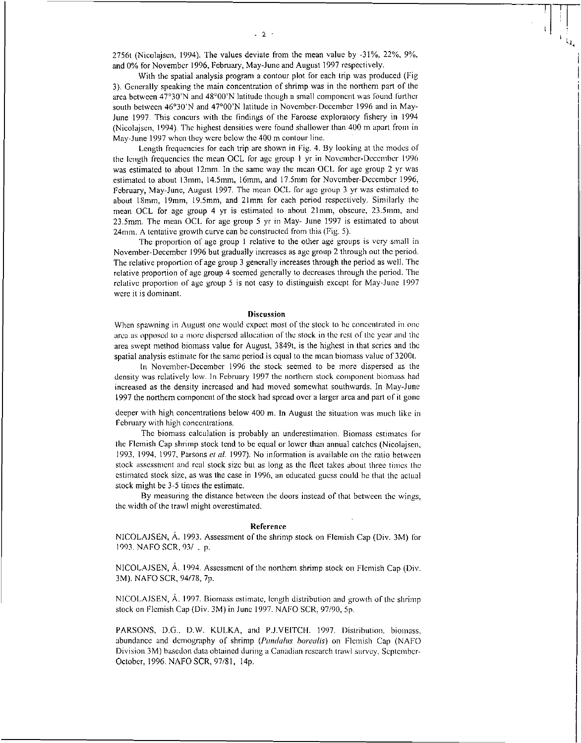With the spatial analysis program a contour plot for each trip was produced (Fig 3). Generally speaking the main concentration of shrimp was in the northern part of the area between 47°30'N and 48°00'N latitude though a small component was found further south between 46°30'N and 47°00'N latitude in November-December 1996 and in May-June 1997. This concurs with the findings of the Faroese exploratory fishery in 1994 (Nicolajsen, 1994). The highest densities were found shallower than 400 m apart from in May-June 1997 when they were below the 400 m contour line.

Length frequencies for each trip are shown in Fig. 4. By looking at the modes of the length frequencies the mean OCL for age group I yr in November-December 1996 was estimated to about 12mm. In the same way the mean OCL for age group 2 yr was estimated to about 13mm, 14.5mm, 16mm, and 17.5mm for November-December 1996, February, May-June, August 1997. The mean OCL for age group 3 yr was estimated to about 18mm, 19mm, 19.5mm, and 21mm for each period respectively. Similarly the mean OCL for age group 4 yr is estimated to about 21mm, obscure, 23.5mm, and 23.5mm. The mean OCL for age group 5 yr in May- June 1997 is estimated to about 24mm. A tentative growth curve can be constructed from this (Fig. 5).

The proportion of age group 1 relative to the other age groups is very small in November-December 1996 but gradually increases as age group 2 through out the period. The relative proportion of age group 3 generally increases through the period as well. The relative proportion of age group 4 seemed generally to decreases through the period. The relative proportion of age group 5 is not easy to distinguish except for May-June 1997 were it is dominant.

### Discussion

When spawning in August one would expect most of the stock to be concentrated in one area as opposed to a more dispersed allocation of the stock in the rest of the year and the area swept method biomass value for August, 3849t, is the highest in that series and the spatial analysis estimate for the same period is equal to the mean biomass value of 3200t.

In November-December 1996 the stock seemed to be more dispersed as the density was relatively low. In February 1997 the northern stock component biomass had increased as the density increased and had moved somewhat southwards. In May-June 1997 the northern component of the stock had spread over a larger area and part of it gone

deeper with high concentrations below 400 m. In August the situation was much like in February with high concentrations.

The biomass calculation is probably an underestimation. Biomass estimates for the Flemish Cap shrimp stock tend to be equal or lower than annual catches (Nicolajsen, 1993, 1994, 1997, Parsons *at at* 1997). No information is available on the ratio between stock assessment and real stock size but as long as the fleet takes about three times the estimated stock size, as was the case in 1996, an educated guess could be that the actual stock might be 3-5 times the estimate.

By measuring the distance between the doors instead of that between the wings, the width of the trawl might overestimated.

### Reference

NICOLAJSEN, A. 1993. Assessment of the shrimp stock on Flemish Cap (Div. 3M) for 1993. NAFO SCR, 93/ , p.

NICOLAJSEN, A. 1994. Assessment of the northern shrimp stock on Flemish Cap (Div. 3M). NAFO SCR, 94/78, 7p.

NICOLAJSEN, A. 1997. Biomass estimate, length distribution and growth of the shrimp stock on Flemish Cap (Div. 3M) in June 1997. NAFO SCR, 97/90, 5p.

PARSONS, D.G., D.W. KULKA, and P.J.VEITCH. 1997. Distribution, biomass, abundance and demography of shrimp *(Pandalus borealis)* on Flemish Cap (NAFO Division 3M) basedon data obtained during a Canadian research trawl survey, September-October, 1996. NAFO SCR, 97/81, 14p.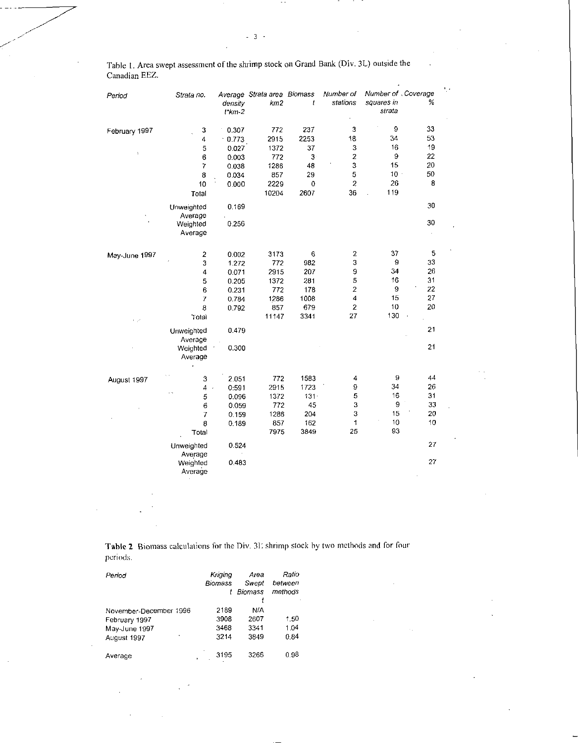Table I. Area swept assessment of the shrimp stock on Grand Bank (Div. 3L) outside the Canadian EEZ.

 $\ddot{\phantom{0}}$ 

| Period               | Strata no.                   | density<br>$t$ *km-2    | Average Strata area Biomass<br>km2 | t                 | Number of<br>stations        | Number of . Coverage<br>squares in<br>strata | %              |
|----------------------|------------------------------|-------------------------|------------------------------------|-------------------|------------------------------|----------------------------------------------|----------------|
| February 1997        | 3<br>4<br>5                  | 0.307<br>0.773<br>0.027 | 772<br>2915<br>1372                | 237<br>2253<br>37 | 3<br>18<br>3                 | 9<br>34<br>16                                | 33<br>53<br>19 |
| $\ddot{\phantom{a}}$ | 6<br>$\overline{7}$          | 0.003<br>0.038          | 772<br>1286                        | 3<br>48           | $\overline{\mathbf{c}}$<br>3 | 9<br>15                                      | 22<br>20       |
|                      | 8<br>10<br>Total             | 0.034<br>0.000          | 857<br>2229<br>10204               | 29<br>0<br>2607   | 5<br>$\overline{c}$<br>36    | $10 -$<br>26<br>119                          | 50<br>8        |
|                      | Unweighted<br>Average        | 0.169                   |                                    |                   |                              |                                              | 30             |
|                      | Weighted<br>Average          | 0.256                   |                                    |                   |                              |                                              | 30             |
| May-June 1997        | $\overline{\mathbf{c}}$<br>3 | 0.002<br>1.272          | 3173<br>772                        | 6<br>982          | $\overline{\mathbf{c}}$<br>3 | 37<br>9                                      | 5<br>33        |
|                      | 4                            | 0.071                   | 2915                               | 207               | 9                            | 34                                           | 26             |
|                      | 5                            | 0.205                   | 1372                               | 281               | 5                            | 16                                           | 31             |
|                      | 6                            | 0.231                   | 772                                | 178               | 2                            | 9                                            | 22             |
|                      | 7                            | 0.784                   | 1286                               | 1008              | 4                            | 15                                           | 27             |
|                      | 8                            | 0.792                   | 857                                | 679               | $\overline{2}$               | 10                                           | 20             |
| $1 - \rho^2$         | Total                        |                         | 11147                              | 3341              | 27                           | 130                                          |                |
|                      | Unweighted<br>Average        | 0.479                   |                                    |                   |                              |                                              | 21             |
|                      | Weighted<br>Average          | 0.300                   |                                    |                   |                              |                                              | 21             |
| August 1997          | 3                            | 2.051                   | 772                                | 1583              | 4                            | 9                                            | 44             |
|                      | 4                            | 0:591                   | 2915                               | 1723              | 9                            | 34                                           | 26             |
|                      | . .<br>5                     | 0.096                   | 1372                               | $131 -$           | 5                            | 16                                           | 31             |
|                      | 6                            | 0.059                   | 772                                | 45                | 3                            | 9                                            | 33             |
|                      | $\overline{I}$               | 0.159                   | 1286                               | 204               | 3                            | 15                                           | 20             |
|                      | 8                            | 0.189                   | 857                                | 162               | 1                            | 10                                           | 10             |
|                      | Total                        |                         | 7975                               | 3849              | 25                           | 93                                           |                |
|                      | Unweighted<br>Average        | 0.524                   |                                    |                   |                              |                                              | 27             |
|                      | Weighted<br>Average          | 0.483                   |                                    |                   |                              |                                              | 27             |

Table 2 Biomass calculations for the Div. 31: shrimp stock by two methods and for four periods.

| Period                                                                  | Kriging<br><b>Biomass</b>    | Area<br>Swept<br>t Biomass  | Ratio<br>between<br>methods |
|-------------------------------------------------------------------------|------------------------------|-----------------------------|-----------------------------|
| November-December 1996<br>February 1997<br>May-June 1997<br>August 1997 | 2189<br>3908<br>3468<br>3214 | N/A<br>2607<br>3341<br>3849 | 1.50<br>1.04<br>0.84        |
| Average<br>x,                                                           | 3195                         | 3266                        | 0.98                        |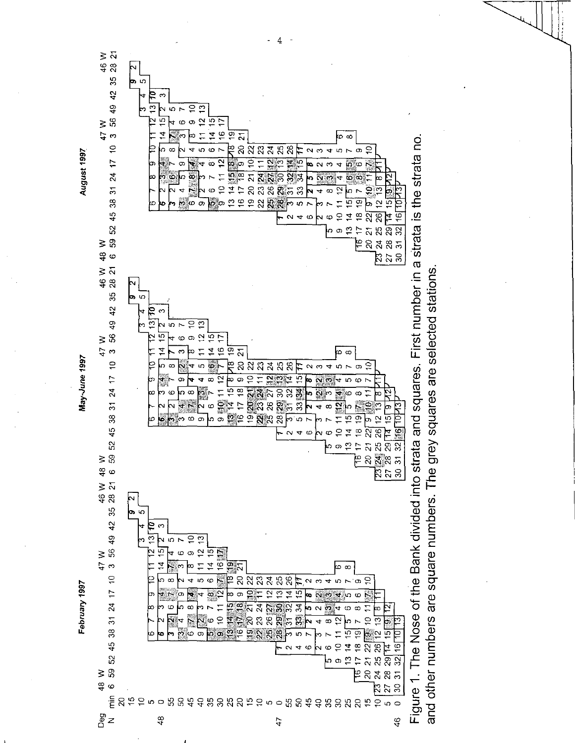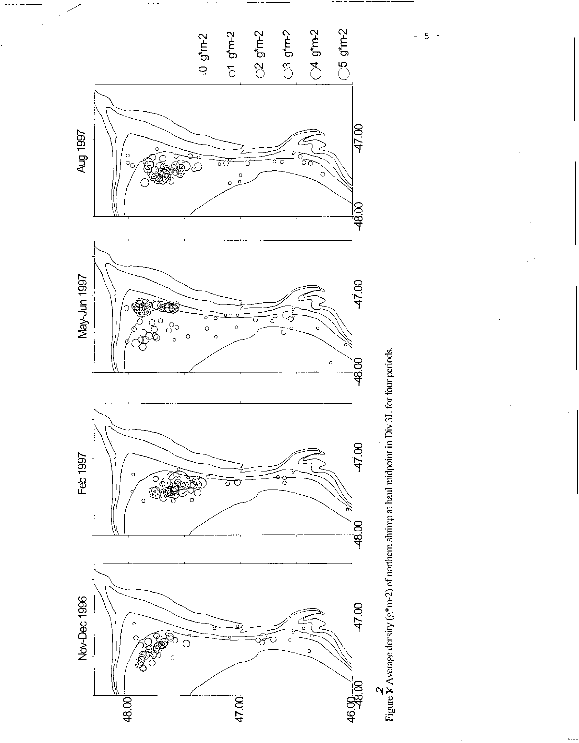

 $-5 -$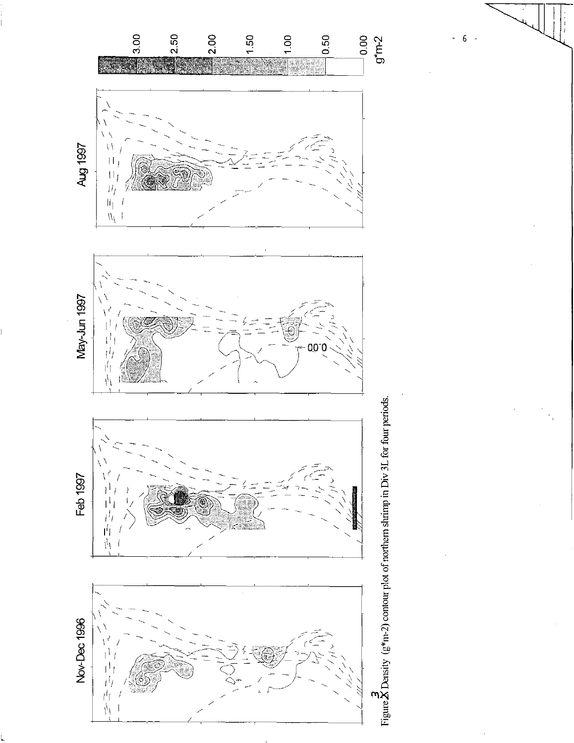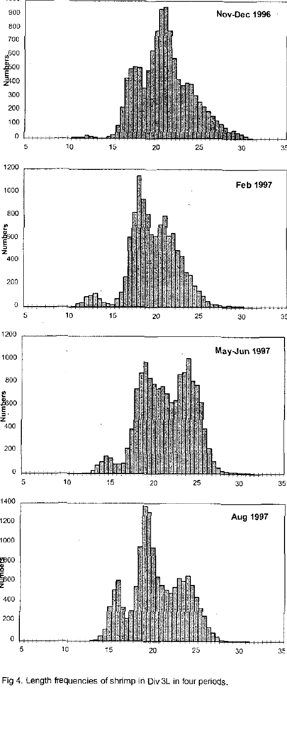

Fig 4. Length frequencies of shrimp in Div 3L in four periods.